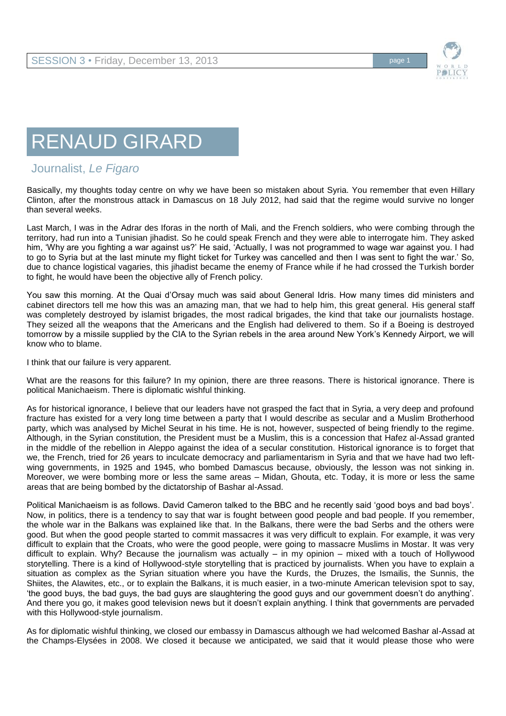

## RENAUD GIRARD

## Journalist, *Le Figaro*

Basically, my thoughts today centre on why we have been so mistaken about Syria. You remember that even Hillary Clinton, after the monstrous attack in Damascus on 18 July 2012, had said that the regime would survive no longer than several weeks.

Last March, I was in the Adrar des Iforas in the north of Mali, and the French soldiers, who were combing through the territory, had run into a Tunisian jihadist. So he could speak French and they were able to interrogate him. They asked him, 'Why are you fighting a war against us?' He said, 'Actually, I was not programmed to wage war against you. I had to go to Syria but at the last minute my flight ticket for Turkey was cancelled and then I was sent to fight the war.' So, due to chance logistical vagaries, this jihadist became the enemy of France while if he had crossed the Turkish border to fight, he would have been the objective ally of French policy.

You saw this morning. At the Quai d'Orsay much was said about General Idris. How many times did ministers and cabinet directors tell me how this was an amazing man, that we had to help him, this great general. His general staff was completely destroyed by islamist brigades, the most radical brigades, the kind that take our journalists hostage. They seized all the weapons that the Americans and the English had delivered to them. So if a Boeing is destroyed tomorrow by a missile supplied by the CIA to the Syrian rebels in the area around New York's Kennedy Airport, we will know who to blame.

I think that our failure is very apparent.

What are the reasons for this failure? In my opinion, there are three reasons. There is historical ignorance. There is political Manichaeism. There is diplomatic wishful thinking.

As for historical ignorance, I believe that our leaders have not grasped the fact that in Syria, a very deep and profound fracture has existed for a very long time between a party that I would describe as secular and a Muslim Brotherhood party, which was analysed by Michel Seurat in his time. He is not, however, suspected of being friendly to the regime. Although, in the Syrian constitution, the President must be a Muslim, this is a concession that Hafez al-Assad granted in the middle of the rebellion in Aleppo against the idea of a secular constitution. Historical ignorance is to forget that we, the French, tried for 26 years to inculcate democracy and parliamentarism in Syria and that we have had two leftwing governments, in 1925 and 1945, who bombed Damascus because, obviously, the lesson was not sinking in. Moreover, we were bombing more or less the same areas – Midan, Ghouta, etc. Today, it is more or less the same areas that are being bombed by the dictatorship of Bashar al-Assad.

Political Manichaeism is as follows. David Cameron talked to the BBC and he recently said 'good boys and bad boys'. Now, in politics, there is a tendency to say that war is fought between good people and bad people. If you remember, the whole war in the Balkans was explained like that. In the Balkans, there were the bad Serbs and the others were good. But when the good people started to commit massacres it was very difficult to explain. For example, it was very difficult to explain that the Croats, who were the good people, were going to massacre Muslims in Mostar. It was very difficult to explain. Why? Because the journalism was actually – in my opinion – mixed with a touch of Hollywood storytelling. There is a kind of Hollywood-style storytelling that is practiced by journalists. When you have to explain a situation as complex as the Syrian situation where you have the Kurds, the Druzes, the Ismailis, the Sunnis, the Shiites, the Alawites, etc., or to explain the Balkans, it is much easier, in a two-minute American television spot to say, 'the good buys, the bad guys, the bad guys are slaughtering the good guys and our government doesn't do anything'. And there you go, it makes good television news but it doesn't explain anything. I think that governments are pervaded with this Hollywood-style journalism.

As for diplomatic wishful thinking, we closed our embassy in Damascus although we had welcomed Bashar al-Assad at the Champs-Elysées in 2008. We closed it because we anticipated, we said that it would please those who were